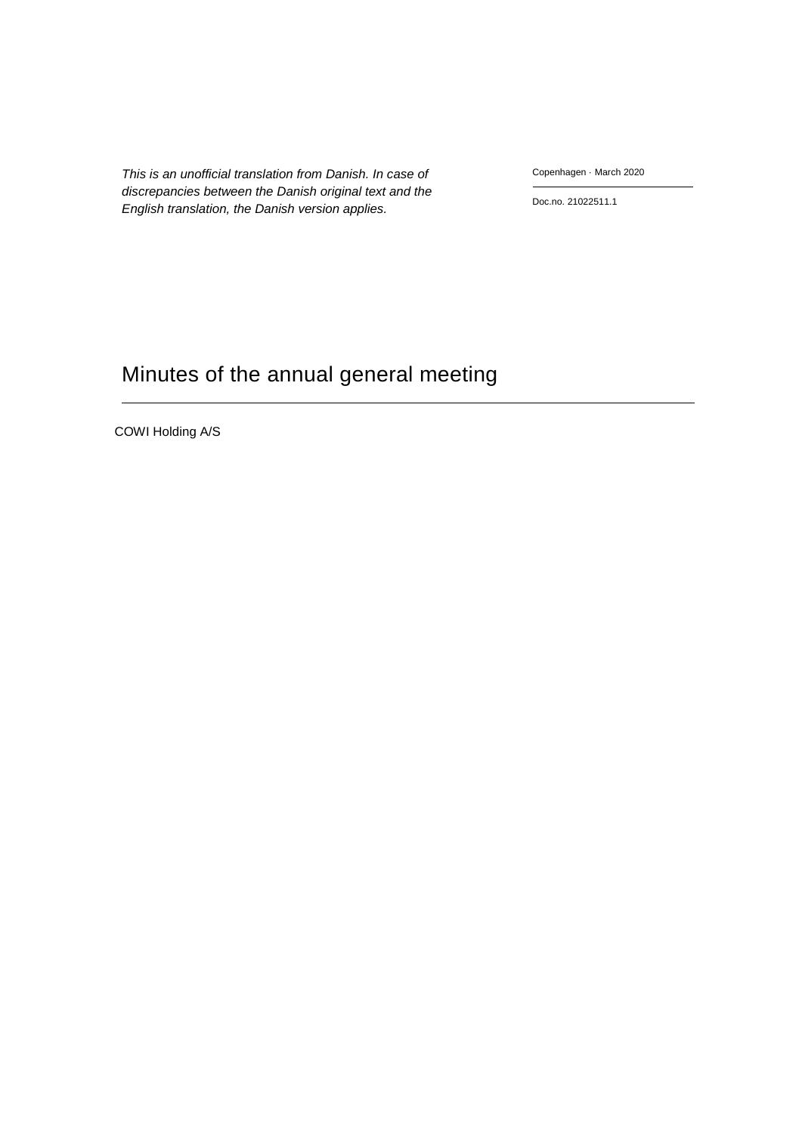*This is an unofficial translation from Danish. In case of discrepancies between the Danish original text and the English translation, the Danish version applies.*

Copenhagen · March 2020

Doc.no. 21022511.1

# Minutes of the annual general meeting

COWI Holding A/S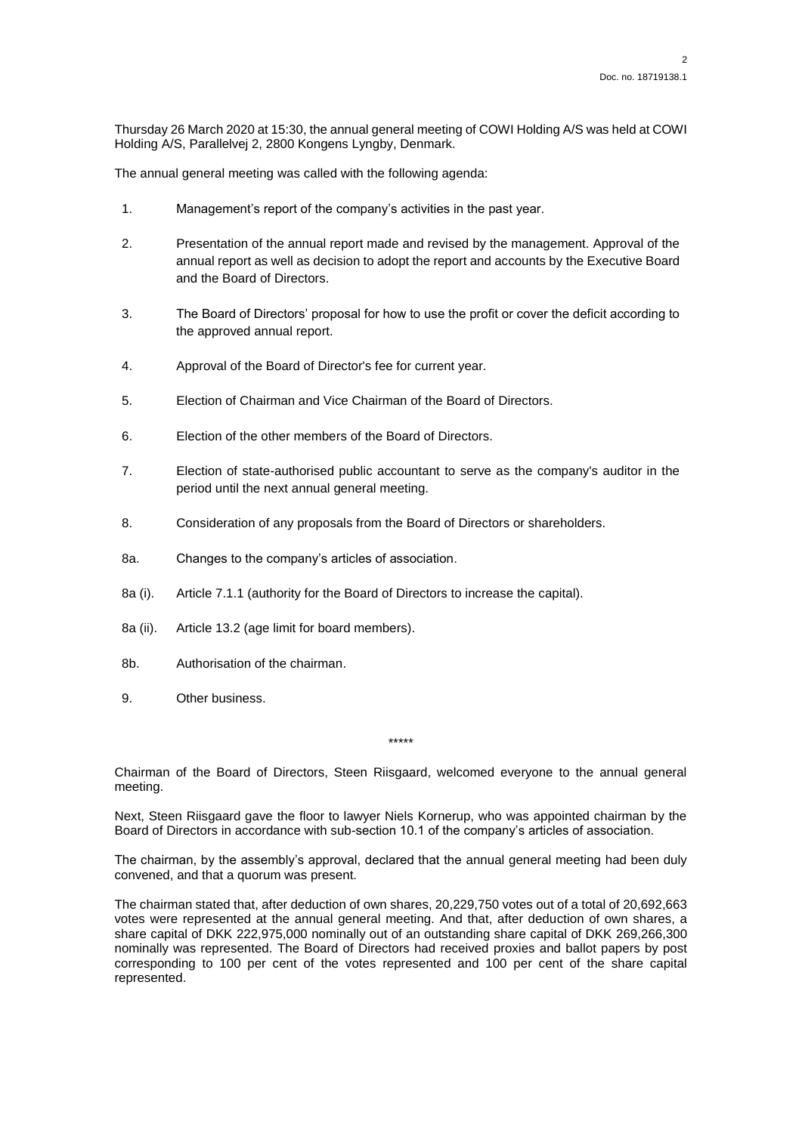Thursday 26 March 2020 at 15:30, the annual general meeting of COWI Holding A/S was held at COWI Holding A/S, Parallelvej 2, 2800 Kongens Lyngby, Denmark.

The annual general meeting was called with the following agenda:

- 1. Management's report of the company's activities in the past year.
- 2. Presentation of the annual report made and revised by the management. Approval of the annual report as well as decision to adopt the report and accounts by the Executive Board and the Board of Directors.
- 3. The Board of Directors' proposal for how to use the profit or cover the deficit according to the approved annual report.
- 4. Approval of the Board of Director's fee for current year.
- 5. Election of Chairman and Vice Chairman of the Board of Directors.
- 6. Election of the other members of the Board of Directors.
- 7. Election of state-authorised public accountant to serve as the company's auditor in the period until the next annual general meeting.
- 8. Consideration of any proposals from the Board of Directors or shareholders.
- 8a. Changes to the company's articles of association.
- 8a (i). Article 7.1.1 (authority for the Board of Directors to increase the capital).
- 8a (ii). Article 13.2 (age limit for board members).
- 8b. Authorisation of the chairman.
- 9. Other business.

Chairman of the Board of Directors, Steen Riisgaard, welcomed everyone to the annual general meeting.

\*\*\*\*\*

Next, Steen Riisgaard gave the floor to lawyer Niels Kornerup, who was appointed chairman by the Board of Directors in accordance with sub-section 10.1 of the company's articles of association.

The chairman, by the assembly's approval, declared that the annual general meeting had been duly convened, and that a quorum was present.

The chairman stated that, after deduction of own shares, 20,229,750 votes out of a total of 20,692,663 votes were represented at the annual general meeting. And that, after deduction of own shares, a share capital of DKK 222,975,000 nominally out of an outstanding share capital of DKK 269,266,300 nominally was represented. The Board of Directors had received proxies and ballot papers by post corresponding to 100 per cent of the votes represented and 100 per cent of the share capital represented.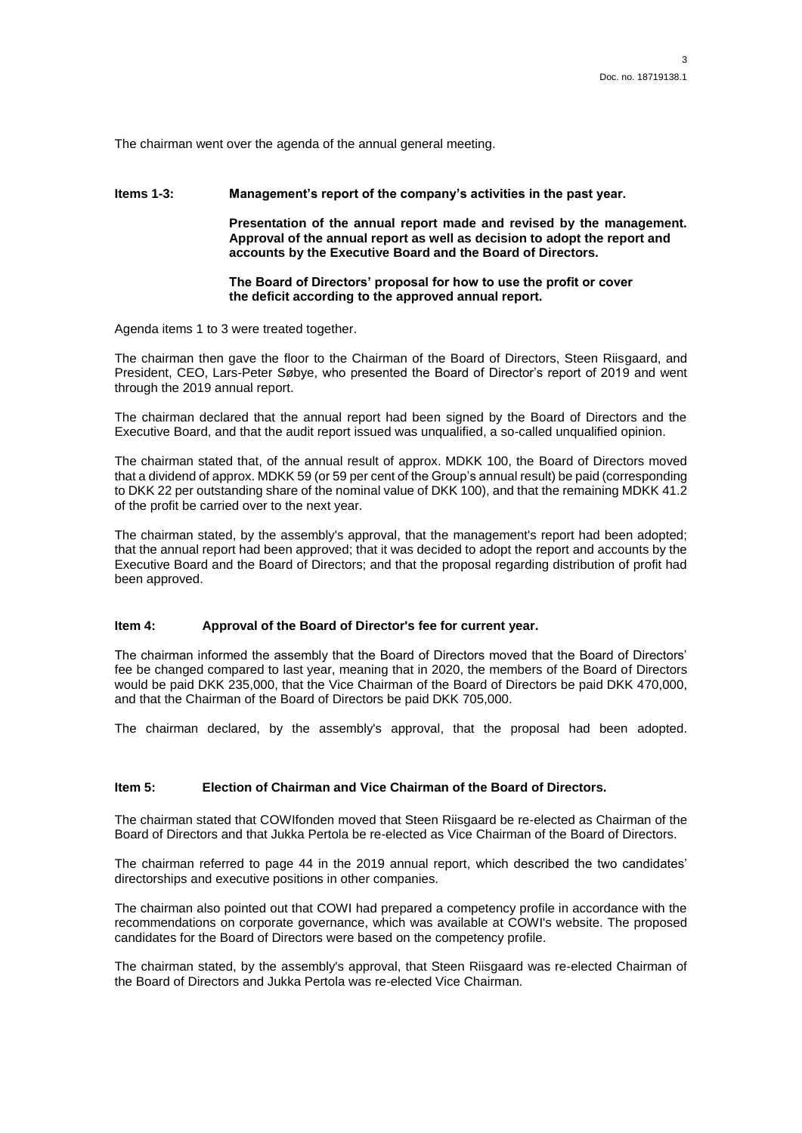The chairman went over the agenda of the annual general meeting.

### **Items 1-3: Management's report of the company's activities in the past year.**

**Presentation of the annual report made and revised by the management. Approval of the annual report as well as decision to adopt the report and accounts by the Executive Board and the Board of Directors.** 

**The Board of Directors' proposal for how to use the profit or cover the deficit according to the approved annual report.**

Agenda items 1 to 3 were treated together.

The chairman then gave the floor to the Chairman of the Board of Directors, Steen Riisgaard, and President, CEO, Lars-Peter Søbye, who presented the Board of Director's report of 2019 and went through the 2019 annual report.

The chairman declared that the annual report had been signed by the Board of Directors and the Executive Board, and that the audit report issued was unqualified, a so-called unqualified opinion.

The chairman stated that, of the annual result of approx. MDKK 100, the Board of Directors moved that a dividend of approx. MDKK 59 (or 59 per cent of the Group's annual result) be paid (corresponding to DKK 22 per outstanding share of the nominal value of DKK 100), and that the remaining MDKK 41.2 of the profit be carried over to the next year.

The chairman stated, by the assembly's approval, that the management's report had been adopted; that the annual report had been approved; that it was decided to adopt the report and accounts by the Executive Board and the Board of Directors; and that the proposal regarding distribution of profit had been approved.

#### **Item 4: Approval of the Board of Director's fee for current year.**

The chairman informed the assembly that the Board of Directors moved that the Board of Directors' fee be changed compared to last year, meaning that in 2020, the members of the Board of Directors would be paid DKK 235,000, that the Vice Chairman of the Board of Directors be paid DKK 470,000, and that the Chairman of the Board of Directors be paid DKK 705,000.

The chairman declared, by the assembly's approval, that the proposal had been adopted.

# **Item 5: Election of Chairman and Vice Chairman of the Board of Directors.**

The chairman stated that COWIfonden moved that Steen Riisgaard be re-elected as Chairman of the Board of Directors and that Jukka Pertola be re-elected as Vice Chairman of the Board of Directors.

The chairman referred to page 44 in the 2019 annual report, which described the two candidates' directorships and executive positions in other companies.

The chairman also pointed out that COWI had prepared a competency profile in accordance with the recommendations on corporate governance, which was available at COWI's website. The proposed candidates for the Board of Directors were based on the competency profile.

The chairman stated, by the assembly's approval, that Steen Riisgaard was re-elected Chairman of the Board of Directors and Jukka Pertola was re-elected Vice Chairman.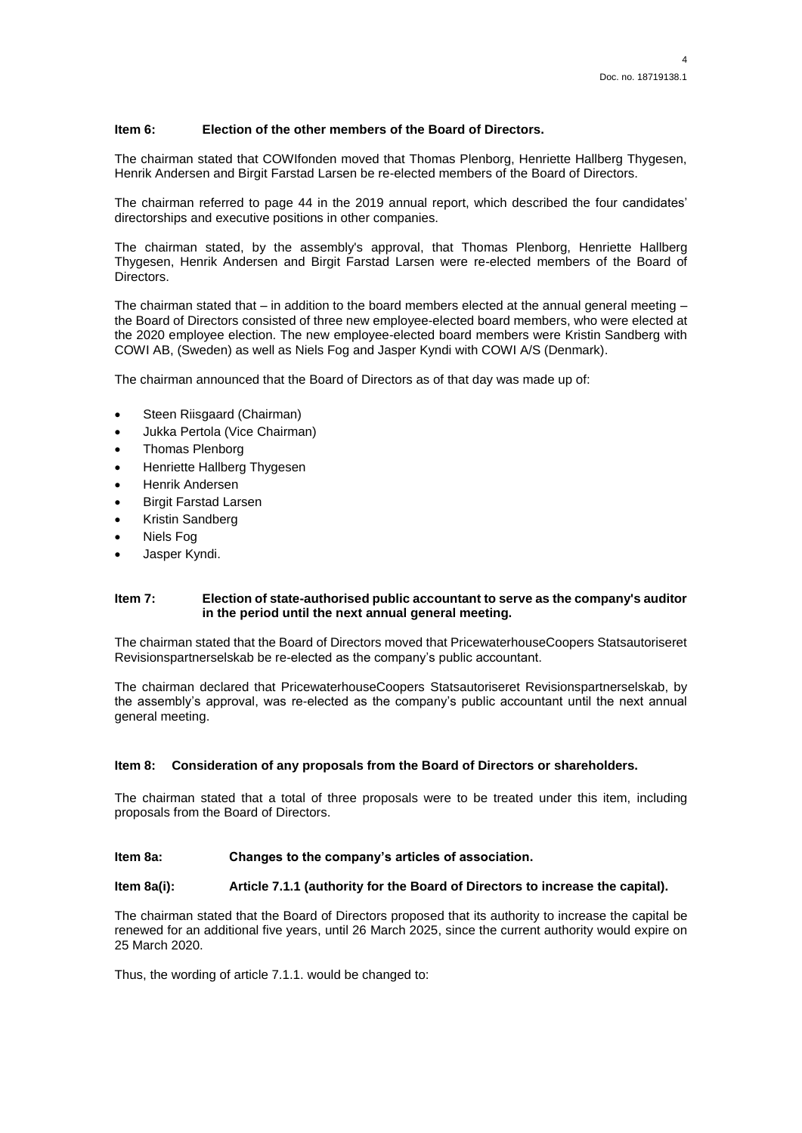# **Item 6: Election of the other members of the Board of Directors.**

The chairman stated that COWIfonden moved that Thomas Plenborg, Henriette Hallberg Thygesen, Henrik Andersen and Birgit Farstad Larsen be re-elected members of the Board of Directors.

The chairman referred to page 44 in the 2019 annual report, which described the four candidates' directorships and executive positions in other companies.

The chairman stated, by the assembly's approval, that Thomas Plenborg, Henriette Hallberg Thygesen, Henrik Andersen and Birgit Farstad Larsen were re-elected members of the Board of Directors.

The chairman stated that  $-$  in addition to the board members elected at the annual general meeting  $$ the Board of Directors consisted of three new employee-elected board members, who were elected at the 2020 employee election. The new employee-elected board members were Kristin Sandberg with COWI AB, (Sweden) as well as Niels Fog and Jasper Kyndi with COWI A/S (Denmark).

The chairman announced that the Board of Directors as of that day was made up of:

- Steen Riisgaard (Chairman)
- Jukka Pertola (Vice Chairman)
- Thomas Plenborg
- Henriette Hallberg Thygesen
- Henrik Andersen
- Birgit Farstad Larsen
- Kristin Sandberg
- Niels Fog
- Jasper Kyndi.

#### **Item 7: Election of state-authorised public accountant to serve as the company's auditor in the period until the next annual general meeting.**

The chairman stated that the Board of Directors moved that PricewaterhouseCoopers Statsautoriseret Revisionspartnerselskab be re-elected as the company's public accountant.

The chairman declared that PricewaterhouseCoopers Statsautoriseret Revisionspartnerselskab, by the assembly's approval, was re-elected as the company's public accountant until the next annual general meeting.

# **Item 8: Consideration of any proposals from the Board of Directors or shareholders.**

The chairman stated that a total of three proposals were to be treated under this item, including proposals from the Board of Directors.

#### **Item 8a: Changes to the company's articles of association.**

# **Item 8a(i): Article 7.1.1 (authority for the Board of Directors to increase the capital).**

The chairman stated that the Board of Directors proposed that its authority to increase the capital be renewed for an additional five years, until 26 March 2025, since the current authority would expire on 25 March 2020.

Thus, the wording of article 7.1.1. would be changed to: